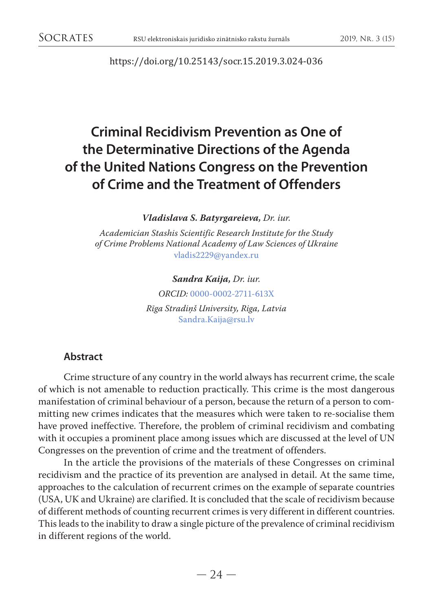<https://doi.org/10.25143/socr.15.2019.3.024-036>

# **Criminal Recidivism Prevention as One of the Determinative Directions of the Agenda of the United Nations Congress on the Prevention of Crime and the Treatment of Offenders**

*Vladislava S. Batyrgareieva, Dr. iur.*

*Аcademician Stashis Scientific Research Institute for the Study of Crime Problems National Academy of Law Sciences of Ukraine*  [vladis2229@yandex.ru](mailto:vladis2229@yandex.ru)

*Sandra Kaija, Dr. iur.*

*ORCID:* [0000-0002-2711-613X](https://orcid.org/0000-0002-2711-613X)

*Rīga Stradiņš University, Riga, Latvia* [Sandra.Kaija@rsu.lv](mailto:Sandra.Kaija@rsu.lv)

# **Abstract**

Crime structure of any country in the world always has recurrent crime, the scale of which is not amenable to reduction practically. This crime is the most dangerous manifestation of criminal behaviour of a person, because the return of a person to committing new crimes indicates that the measures which were taken to re-socialise them have proved ineffective. Therefore, the problem of criminal recidivism and combating with it occupies a prominent place among issues which are discussed at the level of UN Congresses on the prevention of crime and the treatment of offenders.

In the article the provisions of the materials of these Congresses on criminal recidivism and the practice of its prevention are analysed in detail. At the same time, approaches to the calculation of recurrent crimes on the example of separate countries (USA, UK and Ukraine) are clarified. It is concluded that the scale of recidivism because of different methods of counting recurrent crimes is very different in different countries. This leads to the inability to draw a single picture of the prevalence of criminal recidivism in different regions of the world.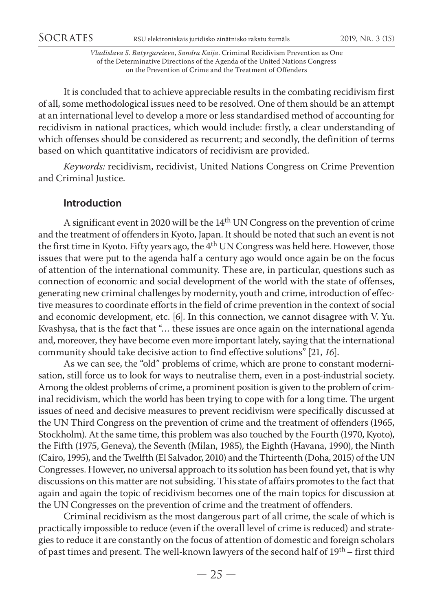It is concluded that to achieve appreciable results in the combating recidivism first of all, some methodological issues need to be resolved. One of them should be an attempt at an international level to develop a more or less standardised method of accounting for recidivism in national practices, which would include: firstly, a clear understanding of which offenses should be considered as recurrent; and secondly, the definition of terms based on which quantitative indicators of recidivism are provided.

*Keywords:* recidivism, recidivist, United Nations Congress on Crime Prevention and Criminal Justice.

# **Introduction**

A significant event in 2020 will be the 14th UN Congress on the prevention of crime and the treatment of offendersin Kyoto, Japan. It should be noted that such an event is not the first time in Kyoto. Fifty years ago, the 4<sup>th</sup> UN Congress was held here. However, those issues that were put to the agenda half a century ago would once again be on the focus of attention of the international community. These are, in particular, questions such as connection of economic and social development of the world with the state of offenses, generating new criminal challenges by modernity, youth and crime, introduction of effective measures to coordinate efforts in the field of crime prevention in the context of social and economic development, etc. [6]. In this connection, we cannot disagree with V. Yu. Kvashysa, that is the fact that "… these issues are once again on the international agenda and, moreover, they have become even more important lately, saying that the international community should take decisive action to find effective solutions" [21, *16*].

As we can see, the "old" problems of crime, which are prone to constant modernisation, still force us to look for ways to neutralise them, even in a post-industrial society. Among the oldest problems of crime, a prominent position is given to the problem of criminal recidivism, which the world has been trying to cope with for a long time. The urgent issues of need and decisive measures to prevent recidivism were specifically discussed at the UN Third Congress on the prevention of crime and the treatment of offenders (1965, Stockholm). At the same time, this problem was also touched by the Fourth (1970, Kyoto), the Fifth (1975, Geneva), the Seventh (Milan, 1985), the Eighth (Havana, 1990), the Ninth (Cairo, 1995), and the Twelfth (El Salvador, 2010) and the Thirteenth (Doha, 2015) of the UN Congresses. However, no universal approach to its solution has been found yet, that is why discussions on this matter are not subsiding. This state of affairs promotes to the fact that again and again the topic of recidivism becomes one of the main topics for discussion at the UN Congresses on the prevention of crime and the treatment of offenders.

Criminal recidivism as the most dangerous part of all crime, the scale of which is practically impossible to reduce (even if the overall level of crime is reduced) and strategies to reduce it are constantly on the focus of attention of domestic and foreign scholars of past times and present. The well-known lawyers of the second half of 19th – first third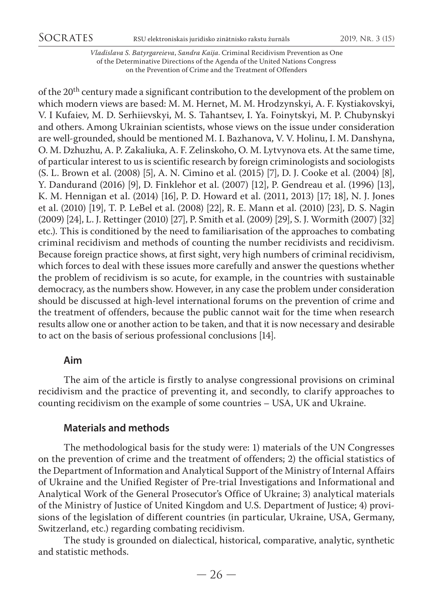*Vladislava S. Batyrgareieva*, *Sandra Kaija*. Criminal Recidivism Prevention as One of the Determinative Directions of the Agenda of the United Nations Congress on the Prevention of Crime and the Treatment of Offenders

of the 20<sup>th</sup> century made a significant contribution to the development of the problem on which modern views are based: M. M. Hernet, M. M. Hrodzynskyi, A. F. Kystiakovskyi, V. I Kufaiev, M. D. Serhiievskyi, M. S. Tahantsev, I. Ya. Foinytskyi, M. P. Chubynskyi and others. Among Ukrainian scientists, whose views on the issue under consideration are well-grounded, should be mentioned M. I. Bazhanova, V. V. Holinu, I. M. Danshyna, O. M. Dzhuzhu, A. P. Zakaliuka, A. F. Zelinskoho, O. M. Lytvynova ets. At the same time, of particular interest to us is scientific research by foreign criminologists and sociologists (S. L. Brown et al. (2008) [5], A. N. Cimino et al. (2015) [7], D. J. Cooke et al. (2004) [8], Y. Dandurand (2016) [9], D. Finklehor et al. (2007) [12], P. Gendreau et al. (1996) [13], K. M. Hennigan et al. (2014) [16], P. D. Howard et al. (2011, 2013) [17; 18], N. J. Jones et al. (2010) [19], T. P. LeBel et al. (2008) [22], R. E. Mann et al. (2010) [23], D. S. Nagin (2009) [24], L. J. Rettinger (2010) [27], P. Smith et al. (2009) [29], S. J. Wormith (2007) [32] etc.). This is conditioned by the need to familiarisation of the approaches to combating criminal recidivism and methods of counting the number recidivists and recidivism. Because foreign practice shows, at first sight, very high numbers of criminal recidivism, which forces to deal with these issues more carefully and answer the questions whether the problem of recidivism is so acute, for example, in the countries with sustainable democracy, as the numbers show. However, in any case the problem under consideration should be discussed at high-level international forums on the prevention of crime and the treatment of offenders, because the public cannot wait for the time when research results allow one or another action to be taken, and that it is now necessary and desirable to act on the basis of serious professional conclusions [14].

### **Aim**

The aim of the article is firstly to analyse congressional provisions on criminal recidivism and the practice of preventing it, and secondly, to clarify approaches to counting recidivism on the example of some countries – USA, UK and Ukraine.

# **Materials and methods**

The methodological basis for the study were: 1) materials of the UN Congresses on the prevention of crime and the treatment of offenders; 2) the official statistics of the Department of Information and Analytical Support of the Ministry of Internal Affairs of Ukraine and the Unified Register of Pre-trial Investigations and Informational and Analytical Work of the General Prosecutor's Office of Ukraine; 3) analytical materials of the Ministry of Justice of United Kingdom and U.S. Department of Justice; 4) provisions of the legislation of different countries (in particular, Ukraine, USA, Germany, Switzerland, etc.) regarding combating recidivism.

The study is grounded on dialectical, historical, comparative, analytic, synthetic and statistic methods.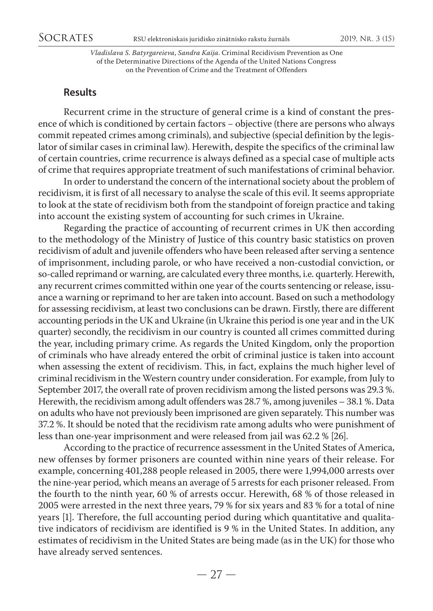# **Results**

Recurrent crime in the structure of general crime is a kind of constant the presence of which is conditioned by certain factors – objective (there are persons who always commit repeated crimes among criminals), and subjective (special definition by the legislator of similar cases in criminal law). Herewith, despite the specifics of the criminal law of certain countries, crime recurrence is always defined as a special case of multiple acts of crime that requires appropriate treatment of such manifestations of criminal behavior.

In order to understand the concern of the international society about the problem of recidivism, it is first of all necessary to analyse the scale of this evil. It seems appropriate to look at the state of recidivism both from the standpoint of foreign practice and taking into account the existing system of accounting for such crimes in Ukraine.

Regarding the practice of accounting of recurrent crimes in UK then according to the methodology of the Ministry of Justice of this country basic statistics on proven recidivism of adult and juvenile offenders who have been released after serving a sentence of imprisonment, including parole, or who have received a non-custodial conviction, or so-called reprimand or warning, are calculated every three months, i.e. quarterly. Herewith, any recurrent crimes committed within one year of the courts sentencing or release, issuance a warning or reprimand to her are taken into account. Based on such a methodology for assessing recidivism, at least two conclusions can be drawn. Firstly, there are different accounting periods in the UK and Ukraine (in Ukraine this period is one year and in the UK quarter) secondly, the recidivism in our country is counted all crimes committed during the year, including primary crime. As regards the United Kingdom, only the proportion of criminals who have already entered the orbit of criminal justice is taken into account when assessing the extent of recidivism. This, in fact, explains the much higher level of criminal recidivism in the Western country under consideration. For example, from July to September 2017, the overall rate of proven recidivism among the listed persons was 29.3 %. Herewith, the recidivism among adult offenders was 28.7 %, among juveniles – 38.1 %. Data on adults who have not previously been imprisoned are given separately. This number was 37.2 %. It should be noted that the recidivism rate among adults who were punishment of less than one-year imprisonment and were released from jail was 62.2 % [26].

According to the practice of recurrence assessment in the United States of America, new offenses by former prisoners are counted within nine years of their release. For example, concerning 401,288 people released in 2005, there were 1,994,000 arrests over the nine-year period, which means an average of 5 arrests for each prisoner released. From the fourth to the ninth year, 60 % of arrests occur. Herewith, 68 % of those released in 2005 were arrested in the next three years, 79 % for six years and 83 % for a total of nine years [1]. Therefore, the full accounting period during which quantitative and qualitative indicators of recidivism are identified is 9 % in the United States. In addition, any estimates of recidivism in the United States are being made (as in the UK) for those who have already served sentences.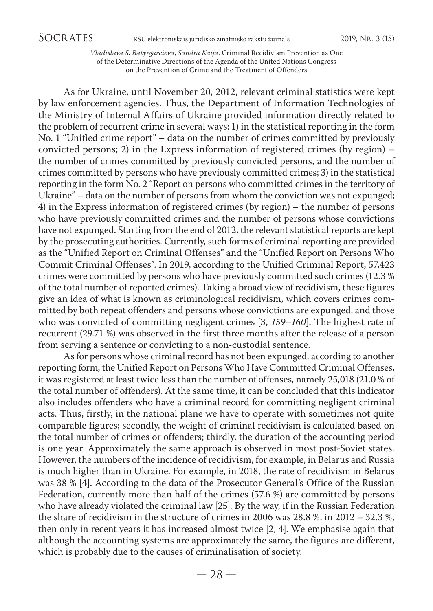As for Ukraine, until November 20, 2012, relevant criminal statistics were kept by law enforcement agencies. Thus, the Department of Information Technologies of the Ministry of Internal Affairs of Ukraine provided information directly related to the problem of recurrent crime in several ways: 1) in the statistical reporting in the form No. 1 "Unified crime report" – data on the number of crimes committed by previously convicted persons; 2) in the Express information of registered crimes (by region) – the number of crimes committed by previously convicted persons, and the number of crimes committed by persons who have previously committed crimes; 3) in the statistical reporting in the form No. 2 "Report on persons who committed crimes in the territory of Ukraine" – data on the number of persons from whom the conviction was not expunged; 4) in the Express information of registered crimes (by region) – the number of persons who have previously committed crimes and the number of persons whose convictions have not expunged. Starting from the end of 2012, the relevant statistical reports are kept by the prosecuting authorities. Currently, such forms of criminal reporting are provided as the "Unified Report on Criminal Offenses" and the "Unified Report on Persons Who Commit Criminal Offenses". In 2019, according to the Unified Criminal Report, 57,423 crimes were committed by persons who have previously committed such crimes (12.3 % of the total number of reported crimes). Taking a broad view of recidivism, these figures give an idea of what is known as criminological recidivism, which covers crimes committed by both repeat offenders and persons whose convictions are expunged, and those who was convicted of committing negligent crimes [3, *159–160*]. The highest rate of recurrent (29.71 %) was observed in the first three months after the release of a person from serving a sentence or convicting to a non-custodial sentence.

As for persons whose criminal record has not been expunged, according to another reporting form, the Unified Report on Persons Who Have Committed Criminal Offenses, it was registered at least twice less than the number of offenses, namely 25,018 (21.0 % of the total number of offenders). At the same time, it can be concluded that this indicator also includes offenders who have a criminal record for committing negligent criminal acts. Thus, firstly, in the national plane we have to operate with sometimes not quite comparable figures; secondly, the weight of criminal recidivism is calculated based on the total number of crimes or offenders; thirdly, the duration of the accounting period is one year. Approximately the same approach is observed in most post-Soviet states. However, the numbers of the incidence of recidivism, for example, in Belarus and Russia is much higher than in Ukraine. For example, in 2018, the rate of recidivism in Belarus was 38 % [4]. According to the data of the Prosecutor General's Office of the Russian Federation, currently more than half of the crimes (57.6 %) are committed by persons who have already violated the criminal law [25]. By the way, if in the Russian Federation the share of recidivism in the structure of crimes in 2006 was 28.8 %, in 2012 – 32.3 %, then only in recent years it has increased almost twice [2, 4]. We emphasise again that although the accounting systems are approximately the same, the figures are different, which is probably due to the causes of criminalisation of society.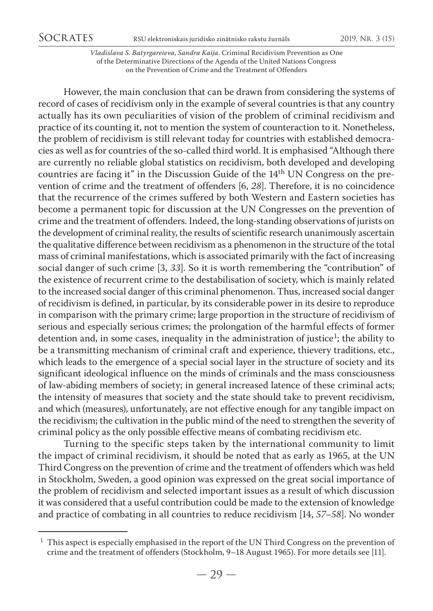*Vladislava S. Batyrgareieva*, *Sandra Kaija*. Criminal Recidivism Prevention as One of the Determinative Directions of the Agenda of the United Nations Congress on the Prevention of Crime and the Treatment of Offenders

However, the main conclusion that can be drawn from considering the systems of record of cases of recidivism only in the example of several countries is that any country actually has its own peculiarities of vision of the problem of criminal recidivism and practice of its counting it, not to mention the system of counteraction to it. Nonetheless, the problem of recidivism is still relevant today for countries with established democracies as well as for countries of the so-called third world. It is emphasised "Although there are currently no reliable global statistics on recidivism, both developed and developing countries are facing it" in the Discussion Guide of the 14th UN Congress on the prevention of crime and the treatment of offenders [6, *28*]. Therefore, it is no coincidence that the recurrence of the crimes suffered by both Western and Eastern societies has become a permanent topic for discussion at the UN Congresses on the prevention of crime and the treatment of offenders. Indeed, the long-standing observations of jurists on the development of criminal reality, the results of scientific research unanimously ascertain the qualitative difference between recidivism as a phenomenon in the structure of the total mass of criminal manifestations, which is associated primarily with the fact of increasing social danger of such crime [3, *33*]. So it is worth remembering the "contribution" of the existence of recurrent crime to the destabilisation of society, which is mainly related to the increased social danger of this criminal phenomenon. Thus, increased social danger of recidivism is defined, in particular, by its considerable power in its desire to reproduce in comparison with the primary crime; large proportion in the structure of recidivism of serious and especially serious crimes; the prolongation of the harmful effects of former detention and, in some cases, inequality in the administration of justice<sup>1</sup>; the ability to be a transmitting mechanism of criminal craft and experience, thievery traditions, etc., which leads to the emergence of a special social layer in the structure of society and its significant ideological influence on the minds of criminals and the mass consciousness of law-abiding members of society; in general increased latence of these criminal acts; the intensity of measures that society and the state should take to prevent recidivism, and which (measures), unfortunately, are not effective enough for any tangible impact on the recidivism; the cultivation in the public mind of the need to strengthen the severity of criminal policy as the only possible effective means of combating recidivism etc.

Turning to the specific steps taken by the international community to limit the impact of criminal recidivism, it should be noted that as early as 1965, at the UN Third Congress on the prevention of crime and the treatment of offenders which was held in Stockholm, Sweden, a good opinion was expressed on the great social importance of the problem of recidivism and selected important issues as a result of which discussion it was considered that a useful contribution could be made to the extension of knowledge and practice of combating in all countries to reduce recidivism [14, *57–58*]. No wonder

 $1$  This aspect is especially emphasised in the report of the UN Third Congress on the prevention of crime and the treatment of offenders (Stockholm, 9–18 August 1965). For more details see [11].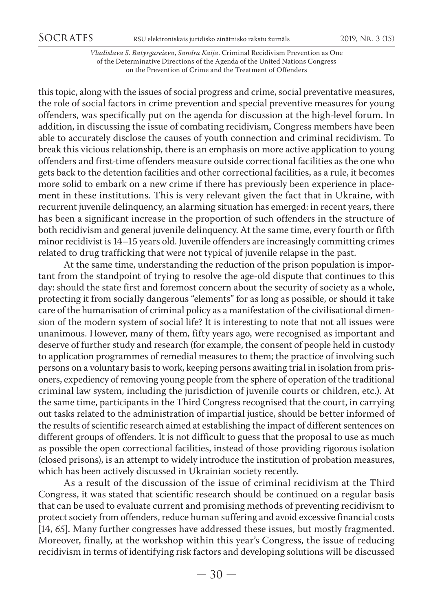*Vladislava S. Batyrgareieva*, *Sandra Kaija*. Criminal Recidivism Prevention as One of the Determinative Directions of the Agenda of the United Nations Congress on the Prevention of Crime and the Treatment of Offenders

this topic, along with the issues of social progress and crime, social preventative measures, the role of social factors in crime prevention and special preventive measures for young offenders, was specifically put on the agenda for discussion at the high-level forum. In addition, in discussing the issue of combating recidivism, Congress members have been able to accurately disclose the causes of youth connection and criminal recidivism. To break this vicious relationship, there is an emphasis on more active application to young offenders and first-time offenders measure outside correctional facilities as the one who gets back to the detention facilities and other correctional facilities, as a rule, it becomes more solid to embark on a new crime if there has previously been experience in placement in these institutions. This is very relevant given the fact that in Ukraine, with recurrent juvenile delinquency, an alarming situation has emerged: in recent years, there has been a significant increase in the proportion of such offenders in the structure of both recidivism and general juvenile delinquency. At the same time, every fourth or fifth minor recidivist is 14–15 years old. Juvenile offenders are increasingly committing crimes related to drug trafficking that were not typical of juvenile relapse in the past.

At the same time, understanding the reduction of the prison population is important from the standpoint of trying to resolve the age-old dispute that continues to this day: should the state first and foremost concern about the security of society as a whole, protecting it from socially dangerous "elements" for as long as possible, or should it take care of the humanisation of criminal policy as a manifestation of the civilisational dimension of the modern system of social life? It is interesting to note that not all issues were unanimous. However, many of them, fifty years ago, were recognised as important and deserve of further study and research (for example, the consent of people held in custody to application programmes of remedial measures to them; the practice of involving such persons on a voluntary basis to work, keeping persons awaiting trial in isolation from prisoners, expediency of removing young people from the sphere of operation of the traditional criminal law system, including the jurisdiction of juvenile courts or children, etc.). At the same time, participants in the Third Congress recognised that the court, in carrying out tasks related to the administration of impartial justice, should be better informed of the results of scientific research aimed at establishing the impact of different sentences on different groups of offenders. It is not difficult to guess that the proposal to use as much as possible the open correctional facilities, instead of those providing rigorous isolation (closed prisons), is an attempt to widely introduce the institution of probation measures, which has been actively discussed in Ukrainian society recently.

As a result of the discussion of the issue of criminal recidivism at the Third Congress, it was stated that scientific research should be continued on a regular basis that can be used to evaluate current and promising methods of preventing recidivism to protect society from offenders, reduce human suffering and avoid excessive financial costs [14, *65*]. Many further congresses have addressed these issues, but mostly fragmented. Moreover, finally, at the workshop within this year's Congress, the issue of reducing recidivism in terms of identifying risk factors and developing solutions will be discussed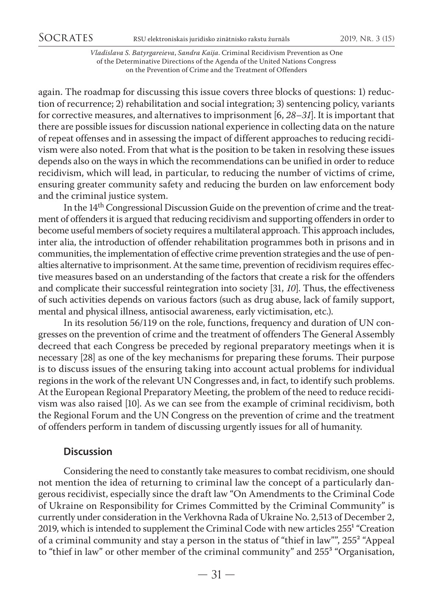*Vladislava S. Batyrgareieva*, *Sandra Kaija*. Criminal Recidivism Prevention as One of the Determinative Directions of the Agenda of the United Nations Congress on the Prevention of Crime and the Treatment of Offenders

again. The roadmap for discussing this issue covers three blocks of questions: 1) reduction of recurrence; 2) rehabilitation and social integration; 3) sentencing policy, variants for corrective measures, and alternatives to imprisonment [6, *28–31*]. It is important that there are possible issues for discussion national experience in collecting data on the nature of repeat offenses and in assessing the impact of different approaches to reducing recidivism were also noted. From that what is the position to be taken in resolving these issues depends also on the ways in which the recommendations can be unified in order to reduce recidivism, which will lead, in particular, to reducing the number of victims of crime, ensuring greater community safety and reducing the burden on law enforcement body and the criminal justice system.

In the 14th Congressional Discussion Guide on the prevention of crime and the treatment of offenders it is argued that reducing recidivism and supporting offenders in order to become useful members of society requires a multilateral approach. This approach includes, inter alia, the introduction of offender rehabilitation programmes both in prisons and in communities, the implementation of effective crime prevention strategies and the use of penalties alternative to imprisonment. At the same time, prevention of recidivism requires effective measures based on an understanding of the factors that create a risk for the offenders and complicate their successful reintegration into society [31, *10*]. Thus, the effectiveness of such activities depends on various factors (such as drug abuse, lack of family support, mental and physical illness, antisocial awareness, early victimisation, etc.).

In its resolution 56/119 on the role, functions, frequency and duration of UN congresses on the prevention of crime and the treatment of offenders The General Assembly decreed that each Congress be preceded by regional preparatory meetings when it is necessary [28] as one of the key mechanisms for preparing these forums. Their purpose is to discuss issues of the ensuring taking into account actual problems for individual regions in the work of the relevant UN Congresses and, in fact, to identify such problems. At the European Regional Preparatory Meeting, the problem of the need to reduce recidivism was also raised [10]. As we can see from the example of criminal recidivism, both the Regional Forum and the UN Congress on the prevention of crime and the treatment of offenders perform in tandem of discussing urgently issues for all of humanity.

# **Discussion**

Considering the need to constantly take measures to combat recidivism, one should not mention the idea of returning to criminal law the concept of a particularly dangerous recidivist, especially since the draft law "On Amendments to the Criminal Code of Ukraine on Responsibility for Crimes Committed by the Criminal Community" is currently under consideration in the Verkhovna Rada of Ukraine No. 2,513 of December 2, 2019, which is intended to supplement the Criminal Code with new articles  $255<sup>1</sup>$  "Creation of a criminal community and stay a person in the status of "thief in law"", 255² "Appeal to "thief in law" or other member of the criminal community" and 255<sup>3</sup> "Organisation,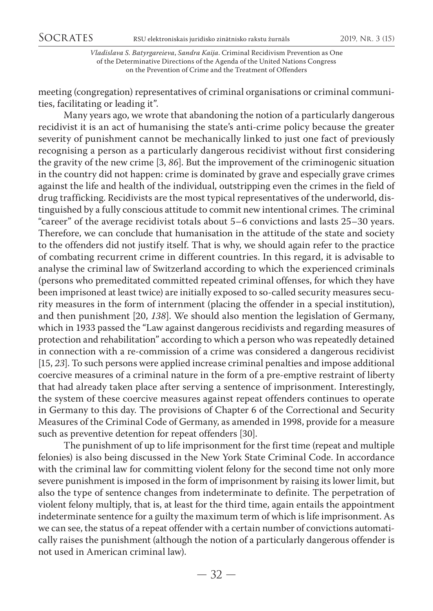meeting (congregation) representatives of criminal organisations or criminal communities, facilitating or leading it".

Many years ago, we wrote that abandoning the notion of a particularly dangerous recidivist it is an act of humanising the state's anti-crime policy because the greater severity of punishment cannot be mechanically linked to just one fact of previously recognising a person as a particularly dangerous recidivist without first considering the gravity of the new crime [3, *86*]. But the improvement of the criminogenic situation in the country did not happen: crime is dominated by grave and especially grave crimes against the life and health of the individual, outstripping even the crimes in the field of drug trafficking. Recidivists are the most typical representatives of the underworld, distinguished by a fully conscious attitude to commit new intentional crimes. The criminal "career" of the average recidivist totals about 5–6 convictions and lasts 25–30 years. Therefore, we can conclude that humanisation in the attitude of the state and society to the offenders did not justify itself. That is why, we should again refer to the practice of combating recurrent crime in different countries. In this regard, it is advisable to analyse the criminal law of Switzerland according to which the experienced criminals (persons who premeditated committed repeated criminal offenses, for which they have been imprisoned at least twice) are initially exposed to so-called security measures security measures in the form of internment (placing the offender in a special institution), and then punishment [20, *138*]. We should also mention the legislation of Germany, which in 1933 passed the "Law against dangerous recidivists and regarding measures of protection and rehabilitation" according to which a person who was repeatedly detained in connection with a re-commission of a crime was considered a dangerous recidivist [15, *23*]. To such persons were applied increase criminal penalties and impose additional coercive measures of a criminal nature in the form of a pre-emptive restraint of liberty that had already taken place after serving a sentence of imprisonment. Interestingly, the system of these coercive measures against repeat offenders continues to operate in Germany to this day. The provisions of Chapter 6 of the Correctional and Security Measures of the Criminal Code of Germany, as amended in 1998, provide for a measure such as preventive detention for repeat offenders [30].

The punishment of up to life imprisonment for the first time (repeat and multiple felonies) is also being discussed in the New York State Criminal Code. In accordance with the criminal law for committing violent felony for the second time not only more severe punishment is imposed in the form of imprisonment by raising its lower limit, but also the type of sentence changes from indeterminate to definite. The perpetration of violent felony multiply, that is, at least for the third time, again entails the appointment indeterminate sentence for a guilty the maximum term of which is life imprisonment. As we can see, the status of a repeat offender with a certain number of convictions automatically raises the punishment (although the notion of a particularly dangerous offender is not used in American criminal law).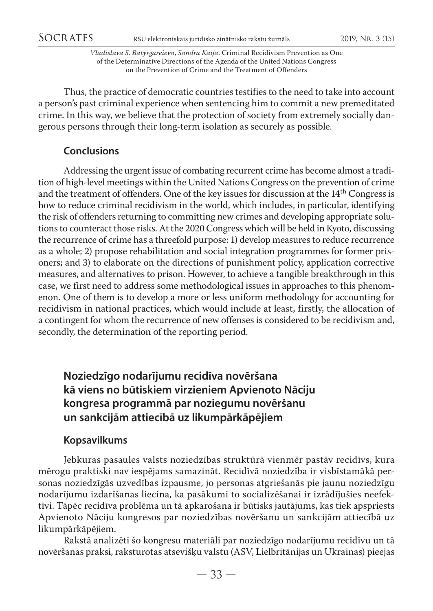Thus, the practice of democratic countries testifies to the need to take into account a person's past criminal experience when sentencing him to commit a new premeditated crime. In this way, we believe that the protection of society from extremely socially dangerous persons through their long-term isolation as securely as possible.

# **Conclusions**

Addressing the urgent issue of combating recurrent crime has become almost a tradition of high-level meetings within the United Nations Congress on the prevention of crime and the treatment of offenders. One of the key issues for discussion at the 14th Congress is how to reduce criminal recidivism in the world, which includes, in particular, identifying the risk of offenders returning to committing new crimes and developing appropriate solutions to counteract those risks. At the 2020 Congress which will be held in Kyoto, discussing the recurrence of crime has a threefold purpose: 1) develop measures to reduce recurrence as a whole; 2) propose rehabilitation and social integration programmes for former prisoners; and 3) to elaborate on the directions of punishment policy, application corrective measures, and alternatives to prison. However, to achieve a tangible breakthrough in this case, we first need to address some methodological issues in approaches to this phenomenon. One of them is to develop a more or less uniform methodology for accounting for recidivism in national practices, which would include at least, firstly, the allocation of a contingent for whom the recurrence of new offenses is considered to be recidivism and, secondly, the determination of the reporting period.

# **Noziedzīgo nodarījumu recidīva novēršana kā viens no būtiskiem virzieniem Apvienoto Nāciju kongresa programmā par noziegumu novēršanu un sankcijām attiecībā uz likumpārkāpējiem**

# **Kopsavilkums**

Jebkuras pasaules valsts noziedzības struktūrā vienmēr pastāv recidīvs, kura mērogu praktiski nav iespējams samazināt. Recidīvā noziedzība ir visbīstamākā personas noziedzīgās uzvedības izpausme, jo personas atgriešanās pie jaunu noziedzīgu nodarījumu izdarīšanas liecina, ka pasākumi to socializēšanai ir izrādījušies neefektīvi. Tāpēc recidīva problēma un tā apkarošana ir būtisks jautājums, kas tiek apspriests Apvienoto Nāciju kongresos par noziedzības novēršanu un sankcijām attiecībā uz likumpārkāpējiem.

Rakstā analizēti šo kongresu materiāli par noziedzīgo nodarījumu recidīvu un tā novēršanas praksi, raksturotas atsevišķu valstu (ASV, Lielbritānijas un Ukrainas) pieejas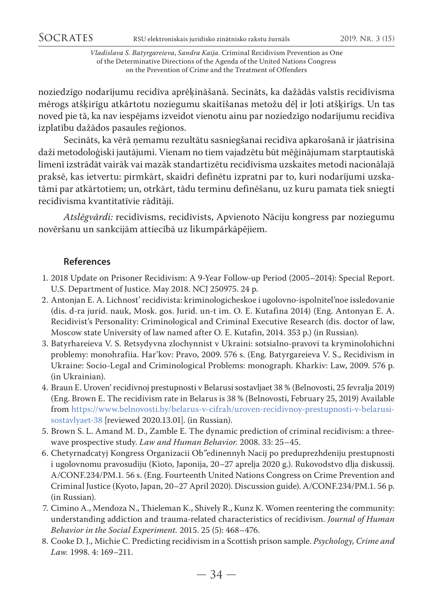noziedzīgo nodarījumu recidīva aprēķināšanā. Secināts, ka dažādās valstīs recidīvisma mērogs atšķirīgu atkārtotu noziegumu skaitīšanas metožu dēļ ir ļoti atšķirīgs. Un tas noved pie tā, ka nav iespējams izveidot vienotu ainu par noziedzīgo nodarījumu recidīva izplatību dažādos pasaules reģionos.

Secināts, ka vērā ņemamu rezultātu sasniegšanai recidīva apkarošanā ir jāatrisina daži metodoloģiski jautājumi. Vienam no tiem vajadzētu būt mēģinājumam starptautiskā līmenī izstrādāt vairāk vai mazāk standartizētu recidīvisma uzskaites metodi nacionālajā praksē, kas ietvertu: pirmkārt, skaidri definētu izpratni par to, kuri nodarījumi uzskatāmi par atkārtotiem; un, otrkārt, tādu terminu definēšanu, uz kuru pamata tiek sniegti recidīvisma kvantitatīvie rādītāji.

*Atslēgvārdi:* recidīvisms, recidīvists, Apvienoto Nāciju kongress par noziegumu novēršanu un sankcijām attiecībā uz likumpārkāpējiem.

# **References**

- 1. 2018 Update on Prisoner Recidivism: A 9-Year Follow-up Period (2005–2014): Special Report. U.S. Department of Justice. May 2018. NCJ 250975. 24 р.
- 2. Antonjan E. A. Lichnost' recidivista: kriminologicheskoe i ugolovno-ispolnitel'noe issledovanie (dis. d-ra jurid. nauk, Mosk. gos. Jurid. un-t im. O. E. Kutafina 2014) (Eng. Antonyan E. A. Recidivist's Personality: Criminological and Criminal Executive Research (dis. doctor of law, Moscow state University of law named after O. E. Kutafin, 2014. 353 р.) (in Russian).
- 3. Batyrhareieva V. S. Retsydyvna zlochynnist v Ukraini: sotsialno-pravovi ta kryminolohichni problemy: monohrafiia. Har'kov: Pravo, 2009. 576 s. (Eng. Batyrgareieva V. S., Recidivism in Ukraine: Socio-Legal and Criminological Problems: monograph. Kharkiv: Law, 2009. 576 р. (in Ukrainian).
- 4. Braun E. Uroven' recidivnoj prestupnosti v Belarusi sostavljaet 38 % (Belnovosti, 25 fevralja 2019) (Eng. Brown E. The recidivism rate in Belarus is 38 % (Belnovosti, February 25, 2019) Available from [https://www.belnovosti.by/belarus-v-cifrah/uroven-recidivnoy-prestupnosti-v-belarusi](https://www.belnovosti.by/belarus-v-cifrah/uroven-recidivnoy-prestupnosti-v-belarusi-sostavlyaet-38)[sostavlyaet-38](https://www.belnovosti.by/belarus-v-cifrah/uroven-recidivnoy-prestupnosti-v-belarusi-sostavlyaet-38) [reviewed 2020.13.01]. (in Russian).
- 5. Brown S. L. Amand M. D., Zamble E. The dynamic prediction of criminal recidivism: a threewave prospective study. *Law and Human Behavior.* 2008. 33: 25–45.
- 6. Chetyrnadcatyj Kongress Organizacii Ob"edinennyh Nacij po preduprezhdeniju prestupnosti i ugolovnomu pravosudiju (Kioto, Japonija, 20–27 aprelja 2020 g.). Rukovodstvo dlja diskussij. A/CONF.234/PM.1. 56 s. (Eng. Fourteenth United Nations Congress on Crime Prevention and Criminal Justice (Kyoto, Japan, 20–27 April 2020). Discussion guide). A/CONF.234/PM.1. 56 р. (in Russian).
- 7. Cimino A., Mendoza N., Thieleman K., Shively R., Kunz K. Women reentering the community: understanding addiction and trauma-related characteristics of recidivism. *Journal of Human Behavior in the Social Experiment.* 2015. 25 (5): 468–476.
- 8. Cooke D. J., Michie C. Predicting recidivism in a Scottish prison sample. *Psychology, Crime and Law.* 1998. 4: 169–211.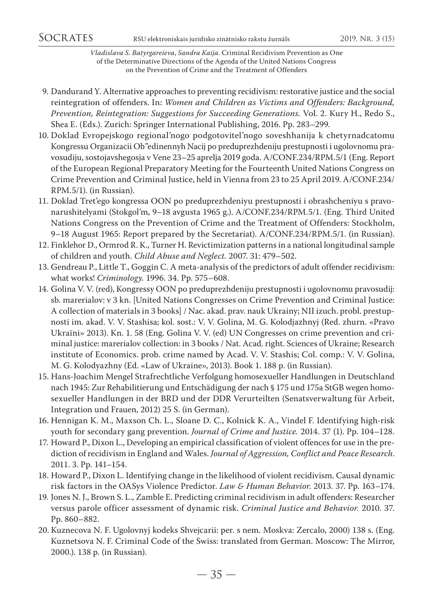- 9. Dandurand Y. Alternative approaches to preventing recidivism: restorative justice and the social reintegration of offenders. In: *Women and Children as Victims and Offenders: Background, Prevention, Reintegration: Suggestions for Succeeding Generations.* Vol. 2. Kury H., Redo S., Shea E. (Eds.). Zurich: Springer International Publishing, 2016. Pp. 283–299.
- 10. Doklad Evropejskogo regional'nogo podgotovitel'nogo soveshhanija k chetyrnadcatomu Kongressu Organizacii Ob"edinennyh Nacij po preduprezhdeniju prestupnosti i ugolovnomu pravosudiju, sostojavshegosja v Vene 23–25 aprelja 2019 goda. A/CONF.234/RPM.5/1 (Eng. Report of the European Regional Preparatory Meeting for the Fourteenth United Nations Congress on Crime Prevention and Criminal Justice, held in Vienna from 23 to 25 April 2019. A/CONF.234/ RPM.5/1). (in Russian).
- 11. Doklad Tret'ego kongressa OON po preduprezhdeniyu prestupnosti i obrashcheniyu s pravonarushitelyami (Stokgol'm, 9–18 avgusta 1965 g.). A/CONF.234/RPM.5/1. (Eng. Third United Nations Congress on the Prevention of Crime and the Treatment of Offenders: Stockholm, 9–18 August 1965: Report prepared by the Secretariat). A/CONF.234/RPM.5/1. (in Russian).
- 12. Finklehor D., Ormrod R. K., Turner H. Revictimization patterns in a national longitudinal sample of children and youth. *Child Abuse and Neglect.* 2007. 31: 479–502.
- 13. Gendreau P., Little T., Goggin C. A meta-analysis of the predictors of adult offender recidivism: what works! *Criminology.* 1996. 34. Pp. 575–608.
- 14. Golina V. V. (red), Kongressy OON po preduprezhdeniju prestupnosti i ugolovnomu pravosudij: sb. marerialov: v 3 kn. [United Nations Congresses on Crime Prevention and Criminal Justice: A collection of materials in 3 books] / Nac. akad. prav. nauk Ukrainy; NII izuch. probl. prestupnosti im. akad. V. V. Stashisa; kol. sost.: V. V. Golina, M. G. Kolodjazhnyj (Red. zhurn. «Pravo Ukraїni» 2013). Kn. 1. 58 (Eng. Golina V. V. (ed) UN Congresses on crime prevention and criminal justice: marerialov collection: in 3 books / Nat. Acad. right. Sciences of Ukraine; Research institute of Economics. prob. crime named by Acad. V. V. Stashis; Col. comp.: V. V. Golina, M. G. Kolodyazhny (Ed. «Law of Ukraine», 2013). Book 1. 188 p. (in Russian).
- 15. Hans-Joachim Mengel Strafrechtliche Verfolgung homosexueller Handlungen in Deutschland nach 1945: Zur Rehabilitierung und Entschädigung der nach § 175 und 175a StGB wegen homosexueller Handlungen in der BRD und der DDR Verurteilten (Senatsverwaltung für Arbeit, Integration und Frauen, 2012) 25 S. (in German).
- 16. Hennigan K. M., Maxson Ch. L., Sloane D. C., Kolnick K. A., Vindel F. Identifying high-risk youth for secondary gang prevention. *Journal of Crime and Justice.* 2014. 37 (1). Pp. 104–128.
- 17. Howard P., Dixon L., Developing an empirical classification of violent offences for use in the prediction of recidivism in England and Wales. *Journal of Aggression, Conflict and Peace Research*. 2011. 3. Pp. 141–154.
- 18. Howard P., Dixon L. Identifying change in the likelihood of violent recidivism. Causal dynamic risk factors in the OASys Violence Predictor. *Law & Human Behavior*. 2013. 37. Рр. 163–174.
- 19. Jones N. J., Brown S. L., Zamble E. Predicting criminal recidivism in adult offenders: Researcher versus parole officer assessment of dynamic risk. *Criminal Justice and Behavior.* 2010. 37. Рр. 860–882.
- 20. Kuznecova N. F. Ugolovnyj kodeks Shvejcarii: per. s nem. Moskva: Zercalo, 2000) 138 s. (Eng. Kuznetsova N. F. Criminal Code of the Swiss: translated from German. Moscow: The Mirror, 2000.). 138 p. (in Russian).